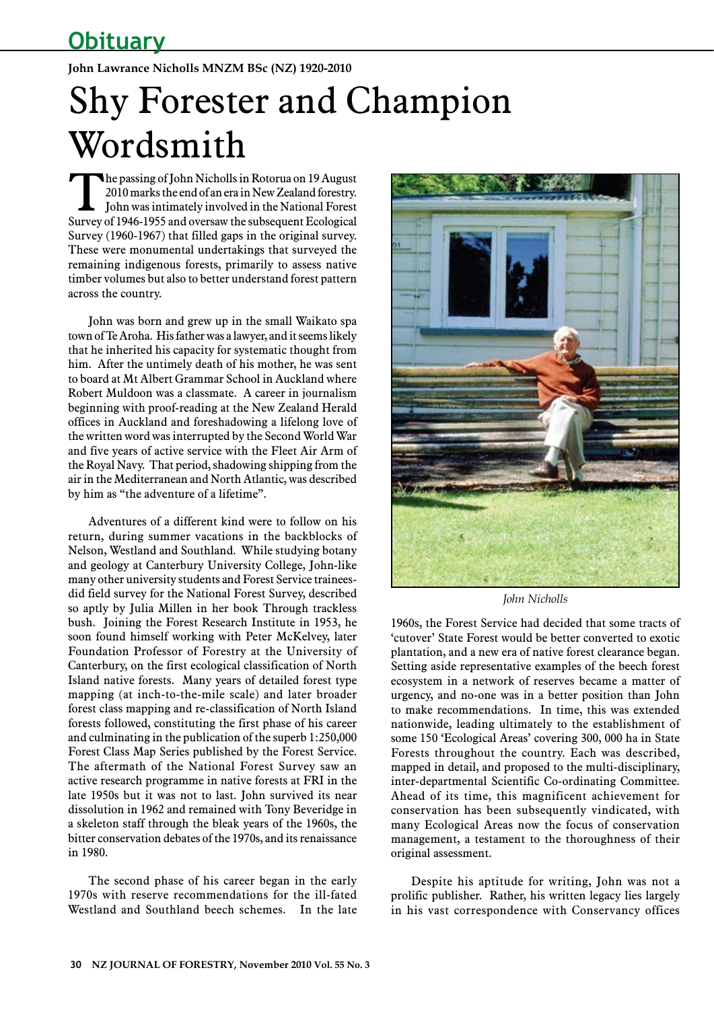## **John Lawrance Nicholls MNZM BSc (NZ) 1920-2010**

## Shy Forester and Champion Wordsmith

The passing of John Nicholls in Rotorua on 19 August<br>2010 marks the end of an era in New Zealand forestry.<br>John was intimately involved in the National Forest<br>Survey of 1046-1055 and average the subsequent Ecological 2010 marks the end of an era in New Zealand forestry. John was intimately involved in the National Forest Survey of 1946-1955 and oversaw the subsequent Ecological Survey (1960-1967) that filled gaps in the original survey. These were monumental undertakings that surveyed the remaining indigenous forests, primarily to assess native timber volumes but also to better understand forest pattern across the country.

John was born and grew up in the small Waikato spa town of Te Aroha. His father was a lawyer, and it seems likely that he inherited his capacity for systematic thought from him. After the untimely death of his mother, he was sent to board at Mt Albert Grammar School in Auckland where Robert Muldoon was a classmate. A career in journalism beginning with proof-reading at the New Zealand Herald offices in Auckland and foreshadowing a lifelong love of the written word was interrupted by the Second World War and five years of active service with the Fleet Air Arm of the Royal Navy. That period, shadowing shipping from the air in the Mediterranean and North Atlantic, was described by him as "the adventure of a lifetime".

Adventures of a different kind were to follow on his return, during summer vacations in the backblocks of Nelson, Westland and Southland. While studying botany and geology at Canterbury University College, John-like many other university students and Forest Service traineesdid field survey for the National Forest Survey, described so aptly by Julia Millen in her book Through trackless bush. Joining the Forest Research Institute in 1953, he soon found himself working with Peter McKelvey, later Foundation Professor of Forestry at the University of Canterbury, on the first ecological classification of North Island native forests. Many years of detailed forest type mapping (at inch-to-the-mile scale) and later broader forest class mapping and re-classification of North Island forests followed, constituting the first phase of his career and culminating in the publication of the superb 1:250,000 Forest Class Map Series published by the Forest Service. The aftermath of the National Forest Survey saw an active research programme in native forests at FRI in the late 1950s but it was not to last. John survived its near dissolution in 1962 and remained with Tony Beveridge in a skeleton staff through the bleak years of the 1960s, the bitter conservation debates of the 1970s, and its renaissance in 1980.

The second phase of his career began in the early 1970s with reserve recommendations for the ill-fated Westland and Southland beech schemes. In the late



*John Nicholls*

1960s, the Forest Service had decided that some tracts of 'cutover' State Forest would be better converted to exotic plantation, and a new era of native forest clearance began. Setting aside representative examples of the beech forest ecosystem in a network of reserves became a matter of urgency, and no-one was in a better position than John to make recommendations. In time, this was extended nationwide, leading ultimately to the establishment of some 150 'Ecological Areas' covering 300, 000 ha in State Forests throughout the country. Each was described, mapped in detail, and proposed to the multi-disciplinary, inter-departmental Scientific Co-ordinating Committee. Ahead of its time, this magnificent achievement for conservation has been subsequently vindicated, with many Ecological Areas now the focus of conservation management, a testament to the thoroughness of their original assessment.

Despite his aptitude for writing, John was not a prolific publisher. Rather, his written legacy lies largely in his vast correspondence with Conservancy offices